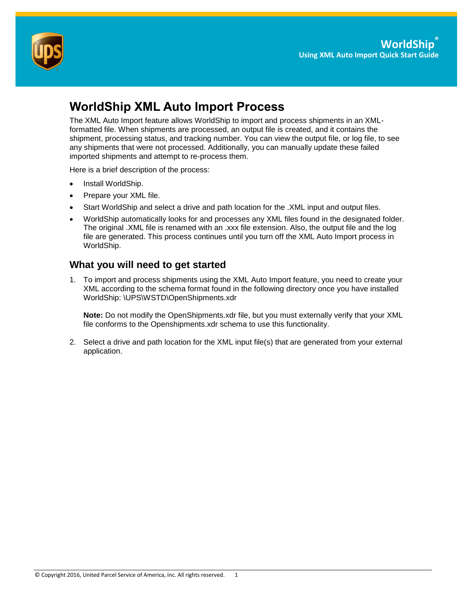

# **WorldShip XML Auto Import Process**

The XML Auto Import feature allows WorldShip to import and process shipments in an XMLformatted file. When shipments are processed, an output file is created, and it contains the shipment, processing status, and tracking number. You can view the output file, or log file, to see any shipments that were not processed. Additionally, you can manually update these failed imported shipments and attempt to re-process them.

Here is a brief description of the process:

- Install WorldShip.
- Prepare your XML file.
- Start WorldShip and select a drive and path location for the .XML input and output files.
- WorldShip automatically looks for and processes any XML files found in the designated folder. The original .XML file is renamed with an .xxx file extension. Also, the output file and the log file are generated. This process continues until you turn off the XML Auto Import process in WorldShip.

### **What you will need to get started**

1. To import and process shipments using the XML Auto Import feature, you need to create your XML according to the schema format found in the following directory once you have installed WorldShip: \UPS\WSTD\OpenShipments.xdr

**Note:** Do not modify the OpenShipments.xdr file, but you must externally verify that your XML file conforms to the Openshipments.xdr schema to use this functionality.

2. Select a drive and path location for the XML input file(s) that are generated from your external application.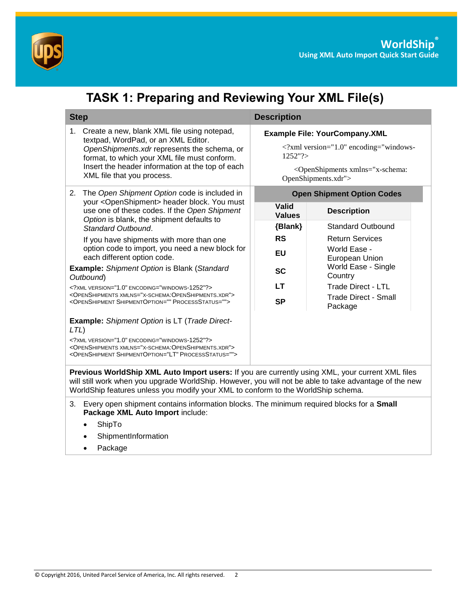

|                                                                                                                                                                                                                                                                           | <b>TASK 1: Preparing and Reviewing Your XML File(s)</b>                                                                                                                                                                                                                                         |  |                                                                                                                                                                        |                                        |  |  |  |
|---------------------------------------------------------------------------------------------------------------------------------------------------------------------------------------------------------------------------------------------------------------------------|-------------------------------------------------------------------------------------------------------------------------------------------------------------------------------------------------------------------------------------------------------------------------------------------------|--|------------------------------------------------------------------------------------------------------------------------------------------------------------------------|----------------------------------------|--|--|--|
| <b>Step</b>                                                                                                                                                                                                                                                               |                                                                                                                                                                                                                                                                                                 |  | <b>Description</b>                                                                                                                                                     |                                        |  |  |  |
| Create a new, blank XML file using notepad,<br>1.<br>textpad, WordPad, or an XML Editor.<br>OpenShipments.xdr represents the schema, or<br>format, to which your XML file must conform.<br>Insert the header information at the top of each<br>XML file that you process. |                                                                                                                                                                                                                                                                                                 |  | <b>Example File: YourCompany.XML</b><br>xml version="1.0" encoding="windows-<br 1252"?<br><openshipments xmlns="x-schema:&lt;br&gt;OpenShipments.xdr"></openshipments> |                                        |  |  |  |
|                                                                                                                                                                                                                                                                           | 2. The Open Shipment Option code is included in<br>your <openshipment> header block. You must</openshipment>                                                                                                                                                                                    |  |                                                                                                                                                                        | <b>Open Shipment Option Codes</b>      |  |  |  |
|                                                                                                                                                                                                                                                                           | use one of these codes. If the Open Shipment<br>Option is blank, the shipment defaults to<br>Standard Outbound.                                                                                                                                                                                 |  | <b>Valid</b><br><b>Values</b>                                                                                                                                          | <b>Description</b>                     |  |  |  |
|                                                                                                                                                                                                                                                                           |                                                                                                                                                                                                                                                                                                 |  | {Blank}                                                                                                                                                                | <b>Standard Outbound</b>               |  |  |  |
|                                                                                                                                                                                                                                                                           | If you have shipments with more than one<br>option code to import, you need a new block for<br>each different option code.                                                                                                                                                                      |  | <b>RS</b>                                                                                                                                                              | <b>Return Services</b>                 |  |  |  |
|                                                                                                                                                                                                                                                                           |                                                                                                                                                                                                                                                                                                 |  | EU                                                                                                                                                                     | World Ease -<br>European Union         |  |  |  |
| <b>Example:</b> Shipment Option is Blank (Standard<br>Outbound)                                                                                                                                                                                                           |                                                                                                                                                                                                                                                                                                 |  | <b>SC</b>                                                                                                                                                              | World Ease - Single<br>Country         |  |  |  |
|                                                                                                                                                                                                                                                                           | XML VERSION="1.0" ENCODING="WINDOWS-1252"?                                                                                                                                                                                                                                                      |  | LТ                                                                                                                                                                     | <b>Trade Direct - LTL</b>              |  |  |  |
| <openshipments xmlns="X-SCHEMA:OPENSHIPMENTS.XDR"><br/><openshipment processstatus="" shipmentoption=""></openshipment></openshipments>                                                                                                                                   |                                                                                                                                                                                                                                                                                                 |  | <b>SP</b>                                                                                                                                                              | <b>Trade Direct - Small</b><br>Package |  |  |  |
| <b>Example:</b> Shipment Option is LT (Trade Direct-<br>$LTL$ )                                                                                                                                                                                                           |                                                                                                                                                                                                                                                                                                 |  |                                                                                                                                                                        |                                        |  |  |  |
| XML VERSION="1.0" ENCODING="WINDOWS-1252"?<br><openshipments xmlns="X-SCHEMA:OPENSHIPMENTS.XDR"><br/><openshipment processstatus="" shipmentoption="LT"></openshipment></openshipments>                                                                                   |                                                                                                                                                                                                                                                                                                 |  |                                                                                                                                                                        |                                        |  |  |  |
|                                                                                                                                                                                                                                                                           | Previous WorldShip XML Auto Import users: If you are currently using XML, your current XML files<br>will still work when you upgrade WorldShip. However, you will not be able to take advantage of the new<br>WorldShip features unless you modify your XML to conform to the WorldShip schema. |  |                                                                                                                                                                        |                                        |  |  |  |
|                                                                                                                                                                                                                                                                           | 3. Every open shipment contains information blocks. The minimum required blocks for a Small<br>Package XML Auto Import include:                                                                                                                                                                 |  |                                                                                                                                                                        |                                        |  |  |  |

- ShipTo
- ShipmentInformation
- Package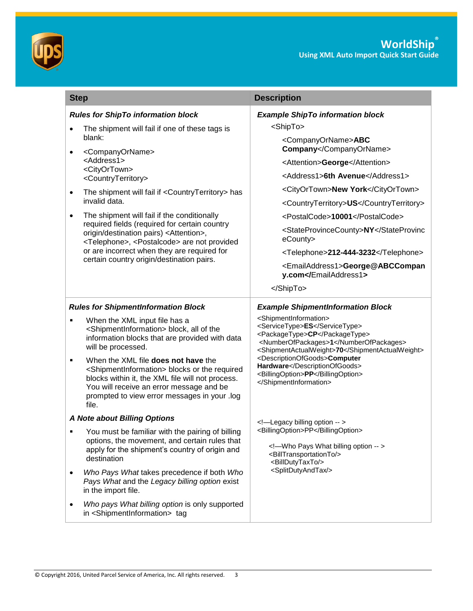



| <b>Step</b>                                                                                                                                                                                                                                                                 | <b>Description</b>                                                                                                                                                                                             |  |  |
|-----------------------------------------------------------------------------------------------------------------------------------------------------------------------------------------------------------------------------------------------------------------------------|----------------------------------------------------------------------------------------------------------------------------------------------------------------------------------------------------------------|--|--|
| <b>Rules for ShipTo information block</b>                                                                                                                                                                                                                                   | <b>Example ShipTo information block</b>                                                                                                                                                                        |  |  |
| The shipment will fail if one of these tags is<br>$\bullet$                                                                                                                                                                                                                 | <shipto></shipto>                                                                                                                                                                                              |  |  |
| blank:<br><companyorname><br/><address1></address1></companyorname>                                                                                                                                                                                                         | <companyorname>ABC<br/>Company</companyorname>                                                                                                                                                                 |  |  |
|                                                                                                                                                                                                                                                                             | <attention>George</attention>                                                                                                                                                                                  |  |  |
| <cityortown><br/><countryterritory></countryterritory></cityortown>                                                                                                                                                                                                         | <address1>6th Avenue</address1>                                                                                                                                                                                |  |  |
| The shipment will fail if <countryterritory> has<br/>invalid data</countryterritory>                                                                                                                                                                                        | <cityortown>New York</cityortown>                                                                                                                                                                              |  |  |
|                                                                                                                                                                                                                                                                             | <countryterritory>US</countryterritory>                                                                                                                                                                        |  |  |
| The shipment will fail if the conditionally<br>$\bullet$                                                                                                                                                                                                                    | <postalcode>10001</postalcode>                                                                                                                                                                                 |  |  |
| required fields (required for certain country<br>origin/destination pairs) <attention>,<br/><telephone>, <postalcode> are not provided</postalcode></telephone></attention>                                                                                                 | <stateprovincecounty>NYeCounty&gt;</stateprovincecounty>                                                                                                                                                       |  |  |
| or are incorrect when they are required for                                                                                                                                                                                                                                 | <telephone>212-444-3232</telephone>                                                                                                                                                                            |  |  |
| certain country origin/destination pairs.                                                                                                                                                                                                                                   | <emailaddress1>George@ABCCompan<br/>y.com</emailaddress1>                                                                                                                                                      |  |  |
|                                                                                                                                                                                                                                                                             |                                                                                                                                                                                                                |  |  |
| <b>Rules for ShipmentInformation Block</b>                                                                                                                                                                                                                                  | <b>Example ShipmentInformation Block</b>                                                                                                                                                                       |  |  |
| When the XML input file has a<br>٠<br><shipmentinformation> block, all of the<br/>information blocks that are provided with data<br/>will be processed.</shipmentinformation>                                                                                               | <shipmentinformation><br/><servicetype>ES</servicetype><br/><packagetype>CP</packagetype><br/><numberofpackages>1</numberofpackages><br/><shipmentactualweight>70</shipmentactualweight></shipmentinformation> |  |  |
| When the XML file does not have the<br>٠<br><shipmentinformation> blocks or the required<br/>blocks within it, the XML file will not process.<br/>You will receive an error message and be<br/>prompted to view error messages in your .log<br/>file.</shipmentinformation> | <descriptionofgoods>Computer<br/>Hardware</descriptionofgoods><br><billingoption>PP</billingoption><br>                                                                                                        |  |  |
| A Note about Billing Options                                                                                                                                                                                                                                                | Legacy billing option                                                                                                                                                                                          |  |  |
| You must be familiar with the pairing of billing<br>options, the movement, and certain rules that<br>apply for the shipment's country of origin and<br>destination                                                                                                          | <billingoption>PP</billingoption><br>Who Pays What billing option<br><billtransportationto></billtransportationto><br><billdutytaxto></billdutytaxto>                                                          |  |  |
| Who Pays What takes precedence if both Who<br>Pays What and the Legacy billing option exist<br>in the import file.                                                                                                                                                          | <splitdutyandtax></splitdutyandtax>                                                                                                                                                                            |  |  |
| Who pays What billing option is only supported<br>in <shipmentinformation> tag</shipmentinformation>                                                                                                                                                                        |                                                                                                                                                                                                                |  |  |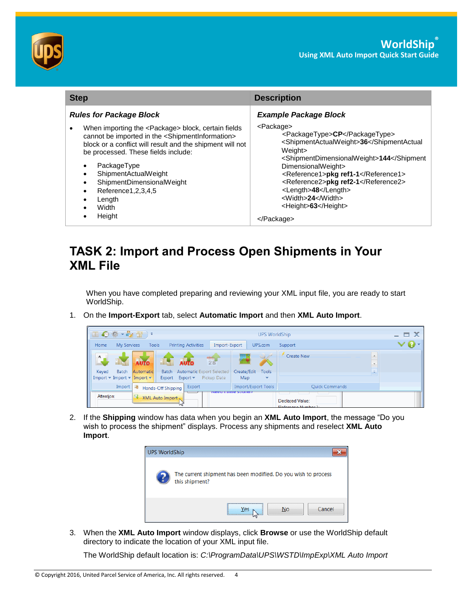

| <b>Step</b>                                                                                                                                                                                                                                                                                                                                                                                                                      | <b>Description</b><br><b>Example Package Block</b>                                                                                                                                                                                                                                                                                                                 |  |
|----------------------------------------------------------------------------------------------------------------------------------------------------------------------------------------------------------------------------------------------------------------------------------------------------------------------------------------------------------------------------------------------------------------------------------|--------------------------------------------------------------------------------------------------------------------------------------------------------------------------------------------------------------------------------------------------------------------------------------------------------------------------------------------------------------------|--|
| <b>Rules for Package Block</b>                                                                                                                                                                                                                                                                                                                                                                                                   |                                                                                                                                                                                                                                                                                                                                                                    |  |
| When importing the <package> block, certain fields<br/>cannot be imported in the <shipmentinformation><br/>block or a conflict will result and the shipment will not<br/>be processed. These fields include:<br/>PackageType<br/>ShipmentActualWeight<br/>ShipmentDimensionalWeight<br/><math>\bullet</math><br/>Reference1, 2, 3, 4, 5<br/>Length<br/>Width<br/>Height<br/><math>\bullet</math></shipmentinformation></package> | <package><br/><packagetype>CP</packagetype><br/><shipmentactualweight>36Weight&gt;<br/><shipmentdimensionalweight>144DimensionalWeight&gt;<br/><reference1>pkg ref1-1</reference1><br/><reference2>pkg ref2-1</reference2><br/><length>48</length><br/><width>24</width><br/><height>63</height><br/></shipmentdimensionalweight></shipmentactualweight></package> |  |

# **TASK 2: Import and Process Open Shipments in Your XML File**

When you have completed preparing and reviewing your XML input file, you are ready to start WorldShip.

1. On the **Import-Export** tab, select **Automatic Import** and then **XML Auto Import**.

| 国の券 · を留) · |                                                                                                  |                                                           |                                                   |                                   | <b>UPS WorldShip</b>     |                                       |               | - E X             |
|-------------|--------------------------------------------------------------------------------------------------|-----------------------------------------------------------|---------------------------------------------------|-----------------------------------|--------------------------|---------------------------------------|---------------|-------------------|
| Home        | My Services                                                                                      | <b>Printing Activities</b><br><b>Tools</b>                | Import-Export                                     |                                   | UPS.com                  | Support                               |               | $\bm{\vee}\bm{Q}$ |
| Ä<br>Keyed  | <b>AUTO</b><br>Batch<br>Automatic                                                                |                                                           | $\frac{4}{28}$<br>Batch Automatic Export Selected | Create/Edit                       | <b>Supply</b><br>Tools   | <b>Create New</b>                     | $\rightarrow$ |                   |
|             | Import $\blacktriangleright$ Import $\blacktriangleright$ Import $\blacktriangleright$<br>Import | Export Export $\blacktriangleright$<br>Hands-Off Shipping | Pickup Date<br>Export                             | Map<br><b>Import/Export Tools</b> | $\overline{\phantom{a}}$ | <b>Ouick Commands</b>                 |               |                   |
| Attention:  | e.                                                                                               | XML Auto Import                                           |                                                   | <b>INCEU IL INCIC SUUNCI !</b>    |                          | Declared Value:<br>Defenses Monday 10 |               |                   |

2. If the **Shipping** window has data when you begin an **XML Auto Import**, the message "Do you wish to process the shipment" displays. Process any shipments and reselect **XML Auto Import**.



3. When the **XML Auto Import** window displays, click **Browse** or use the WorldShip default directory to indicate the location of your XML input file.

The WorldShip default location is: *C:\ProgramData\UPS\WSTD\ImpExp\XML Auto Import*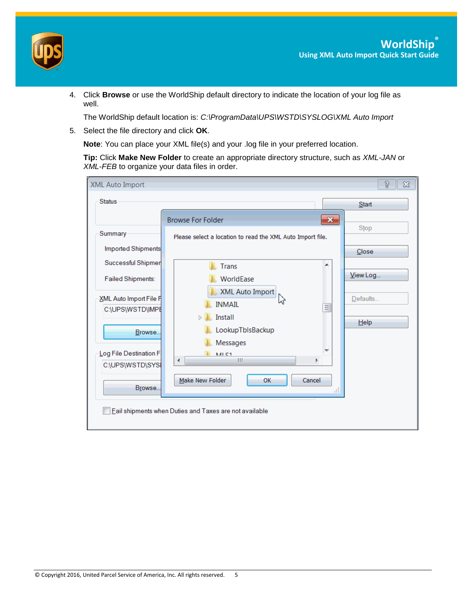

4. Click **Browse** or use the WorldShip default directory to indicate the location of your log file as well.

The WorldShip default location is: *C:\ProgramData\UPS\WSTD\SYSLOG\XML Auto Import*

5. Select the file directory and click **OK**.

**Note**: You can place your XML file(s) and your .log file in your preferred location.

**Tip:** Click **Make New Folder** to create an appropriate directory structure, such as *XML-JAN* or *XML-FEB* to organize your data files in order.

| <b>Browse For Folder</b><br>Please select a location to read the XML Auto Import file.<br><b>Trans</b><br>WorldEase<br>XML Auto Import |                                                        | $\mathbf{x}$<br>▲ | Start<br>Stop<br>Close |
|----------------------------------------------------------------------------------------------------------------------------------------|--------------------------------------------------------|-------------------|------------------------|
|                                                                                                                                        |                                                        |                   |                        |
|                                                                                                                                        |                                                        |                   |                        |
|                                                                                                                                        |                                                        |                   |                        |
|                                                                                                                                        |                                                        |                   |                        |
|                                                                                                                                        |                                                        |                   |                        |
|                                                                                                                                        |                                                        |                   | View Log               |
| ふ<br><b>INMAIL</b><br>Install<br>$\triangleright$<br>LookupTbIsBackup<br>Messages<br>MI C1<br>Ш<br>Make New Folder<br><b>OK</b>        | Þ<br>Cancel                                            | 킈<br>Æ            | Defaults<br>He         |
|                                                                                                                                        | Eail shipments when Duties and Taxes are not available |                   |                        |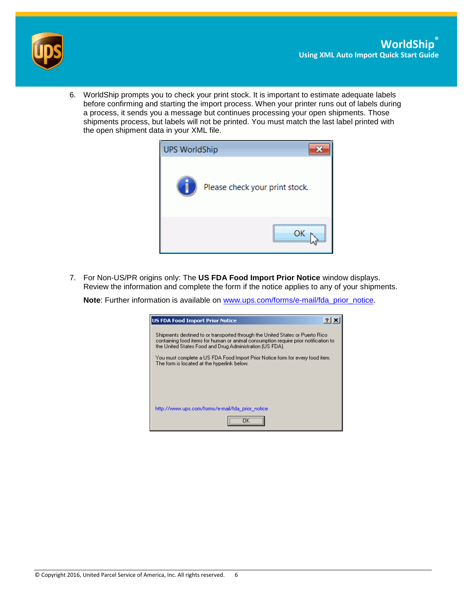



6. WorldShip prompts you to check your print stock. It is important to estimate adequate labels before confirming and starting the import process. When your printer runs out of labels during a process, it sends you a message but continues processing your open shipments. Those shipments process, but labels will not be printed. You must match the last label printed with the open shipment data in your XML file.



7. For Non-US/PR origins only: The **US FDA Food Import Prior Notice** window displays. Review the information and complete the form if the notice applies to any of your shipments.

**Note**: Further information is available on [www.ups.com/forms/e-mail/fda\\_prior\\_notice.](http://www.ups.com/forms/e-mail/fda_prior_notice)

| US FDA Food Import Prior Notice                                                                                                                                                                                                  |
|----------------------------------------------------------------------------------------------------------------------------------------------------------------------------------------------------------------------------------|
| Shipments destined to or transported through the United States or Puerto Rico<br>containing food items for human or animal consumption require prior notification to<br>the United States Food and Drug Administration (US FDA). |
| You must complete a US FDA Food Import Prior Notice form for every food item.<br>The form is located at the hyperlink below.                                                                                                     |
|                                                                                                                                                                                                                                  |
|                                                                                                                                                                                                                                  |
| http://www.ups.com/forms/e-mail/fda_prior_notice                                                                                                                                                                                 |
|                                                                                                                                                                                                                                  |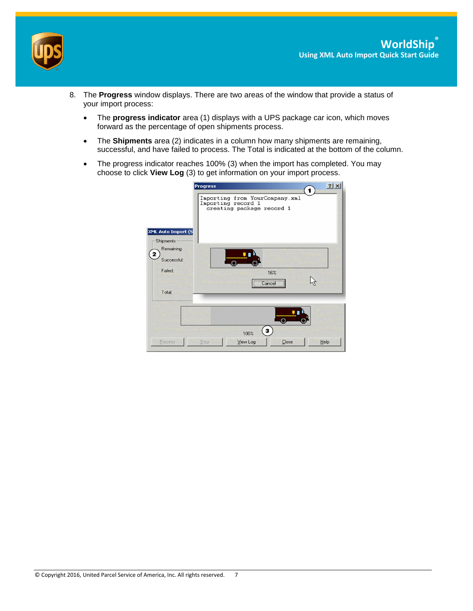

- 8. The **Progress** window displays. There are two areas of the window that provide a status of your import process:
	- The **progress indicator** area (1) displays with a UPS package car icon, which moves forward as the percentage of open shipments process.
	- The **Shipments** area (2) indicates in a column how many shipments are remaining, successful, and have failed to process. The Total is indicated at the bottom of the column.
	- The progress indicator reaches 100% (3) when the import has completed. You may choose to click **View Log** (3) to get information on your import process.

|                                                    | <b>Progress</b><br>1                                                              | 2 X |
|----------------------------------------------------|-----------------------------------------------------------------------------------|-----|
|                                                    | Importing from YourCompany.xml<br>Importing record 1<br>creating package record 1 |     |
| XML Auto Import (S<br>Shipments<br>Remaining:<br>2 |                                                                                   |     |
| <b>Successful:</b><br>Failed:                      | 16%<br>Cancel                                                                     |     |
| Total:                                             |                                                                                   |     |
| Process                                            | ō<br>3.<br>100%<br>View Log<br>Close<br>Stop<br>Help                              |     |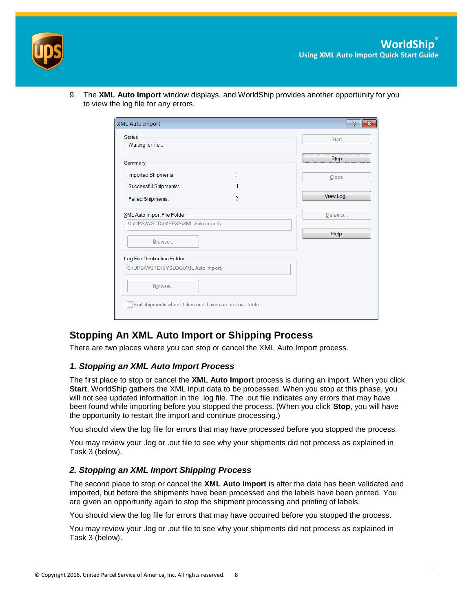

9. The **XML Auto Import** window displays, and WorldShip provides another opportunity for you to view the log file for any errors.

| XML Auto Import                                        |   | 2        |
|--------------------------------------------------------|---|----------|
| <b>Status</b><br>Waiting for file                      |   | Start    |
| Summary                                                |   | Stop     |
| Imported Shipments:                                    | 3 | Close    |
| Successful Shipments:                                  | 1 |          |
| <b>Failed Shipments:</b>                               | 2 | View Log |
| XML Auto Import File Folder                            |   | Defaults |
| C:\UPS\WSTD\IMPEXP\XML Auto Import\                    |   |          |
| Browse                                                 |   | $He$ lp  |
| Log File Destination Folder                            |   |          |
| C:\UPS\WSTD\SYSLOG\XML Auto Import\                    |   |          |
| Browse                                                 |   |          |
| Eail shipments when Duties and Taxes are not available |   |          |
|                                                        |   |          |

## **Stopping An XML Auto Import or Shipping Process**

There are two places where you can stop or cancel the XML Auto Import process.

#### *1. Stopping an XML Auto Import Process*

The first place to stop or cancel the **XML Auto Import** process is during an import. When you click **Start**, WorldShip gathers the XML input data to be processed. When you stop at this phase, you will not see updated information in the .log file. The .out file indicates any errors that may have been found while importing before you stopped the process. (When you click **Stop**, you will have the opportunity to restart the import and continue processing.)

You should view the log file for errors that may have processed before you stopped the process.

You may review your .log or .out file to see why your shipments did not process as explained in Task 3 (below).

#### *2. Stopping an XML Import Shipping Process*

The second place to stop or cancel the **XML Auto Import** is after the data has been validated and imported, but before the shipments have been processed and the labels have been printed. You are given an opportunity again to stop the shipment processing and printing of labels.

You should view the log file for errors that may have occurred before you stopped the process.

You may review your .log or .out file to see why your shipments did not process as explained in Task 3 (below).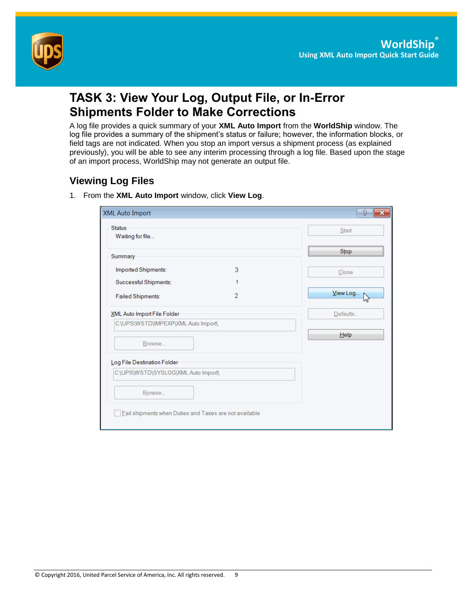

# **TASK 3: View Your Log, Output File, or In-Error Shipments Folder to Make Corrections**

A log file provides a quick summary of your **XML Auto Import** from the **WorldShip** window. The log file provides a summary of the shipment's status or failure; however, the information blocks, or field tags are not indicated. When you stop an import versus a shipment process (as explained previously), you will be able to see any interim processing through a log file. Based upon the stage of an import process, WorldShip may not generate an output file.

## **Viewing Log Files**

1. From the **XML Auto Import** window, click **View Log**.

| <b>XML Auto Import</b>                                 |   | S.       |
|--------------------------------------------------------|---|----------|
| <b>Status</b><br>Waiting for file                      |   | Start    |
| Summary                                                |   | Stop     |
| Imported Shipments:                                    | 3 | Close    |
| Successful Shipments:                                  | 1 |          |
| Failed Shipments:                                      | 2 | View Log |
| XML Auto Import File Folder                            |   | Defaults |
| C:\UPS\WSTD\IMPEXP\XML Auto Import\                    |   |          |
| Browse                                                 |   | $H$ elp  |
| Log File Destination Folder                            |   |          |
| C:\UPS\WSTD\SYSLOG\XML Auto Import\                    |   |          |
| Browse                                                 |   |          |
| Eail shipments when Duties and Taxes are not available |   |          |
|                                                        |   |          |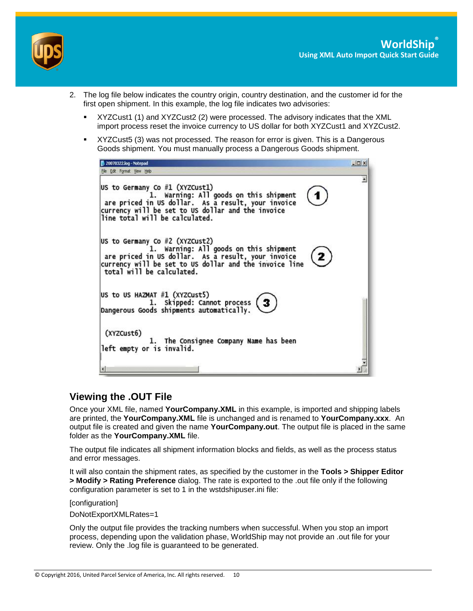

- 2. The log file below indicates the country origin, country destination, and the customer id for the first open shipment. In this example, the log file indicates two advisories:
	- XYZCust1 (1) and XYZCust2 (2) were processed. The advisory indicates that the XML import process reset the invoice currency to US dollar for both XYZCust1 and XYZCust2.
	- XYZCust5 (3) was not processed. The reason for error is given. This is a Dangerous Goods shipment. You must manually process a Dangerous Goods shipment.



### **Viewing the .OUT File**

Once your XML file, named **YourCompany.XML** in this example, is imported and shipping labels are printed, the **YourCompany.XML** file is unchanged and is renamed to **YourCompany.xxx**. An output file is created and given the name **YourCompany.out**. The output file is placed in the same folder as the **YourCompany.XML** file.

The output file indicates all shipment information blocks and fields, as well as the process status and error messages.

It will also contain the shipment rates, as specified by the customer in the **Tools > Shipper Editor > Modify > Rating Preference** dialog. The rate is exported to the .out file only if the following configuration parameter is set to 1 in the wstdshipuser.ini file:

[configuration]

DoNotExportXMLRates=1

Only the output file provides the tracking numbers when successful. When you stop an import process, depending upon the validation phase, WorldShip may not provide an .out file for your review. Only the .log file is guaranteed to be generated.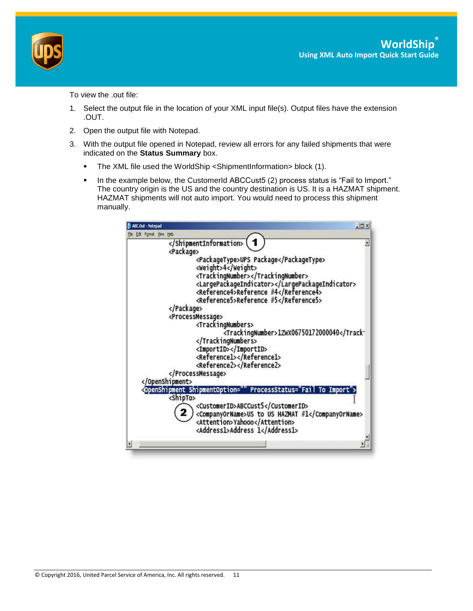

To view the .out file:

- 1. Select the output file in the location of your XML input file(s). Output files have the extension .OUT.
- 2. Open the output file with Notepad.
- 3. With the output file opened in Notepad, review all errors for any failed shipments that were indicated on the **Status Summary** box.
	- The XML file used the WorldShip <ShipmentInformation> block (1).
	- In the example below, the CustomerId ABCCust5 (2) process status is "Fail to Import." The country origin is the US and the country destination is US. It is a HAZMAT shipment. HAZMAT shipments will not auto import. You would need to process this shipment manually.

| ABC.Out - Notepad     |                                                                                                                                                                                                                                        | $  C $ $x$                    |
|-----------------------|----------------------------------------------------------------------------------------------------------------------------------------------------------------------------------------------------------------------------------------|-------------------------------|
| Edit Format View Help |                                                                                                                                                                                                                                        |                               |
| <package></package>   |                                                                                                                                                                                                                                        |                               |
|                       | <packagetype>UPS Package</packagetype><br><weight>4</weight><br><trackingnumber></trackingnumber><br><largepackageindicator></largepackageindicator><br><reference4>Reference #4</reference4><br><reference5>Reference #5</reference5> |                               |
|                       |                                                                                                                                                                                                                                        |                               |
|                       | <processmessage></processmessage>                                                                                                                                                                                                      |                               |
|                       | <trackingnumbers><br/><trackingnumber>1ZwX06750172000040</trackingnumber></trackingnumbers><br><importid></importid><br><reference1></reference1><br><reference2></reference2><br>                                                     |                               |
|                       |                                                                                                                                                                                                                                        |                               |
| <shipto></shipto>     | <openshipment <br="" shipmentoption=""><customerid>ABCCust5</customerid><br/><companyorname>US to US HAZMAT #1</companyorname><br/><attention>Yahooo</attention><br/><address1>Address 1</address1></openshipment>                     | ProcessStatus="Fail To Import |
|                       |                                                                                                                                                                                                                                        |                               |